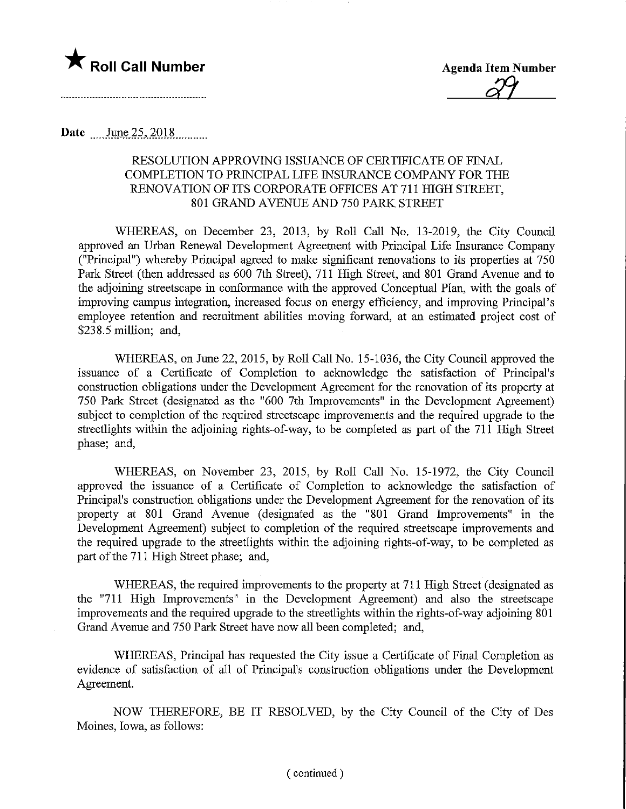

29

Date .... June 25, 2018..........

#### RESOLUTION APPROVING ISSUANCE OF CERTIFICATE OF FINAL COMPLETION TO PRINCIPAL LIFE INSURANCE COMPANY FOR THE RENOVATION OF ITS CORPORATE OFFICES AT 711 HIGH STREET, 801 GRAND AVENUE AND 750 PARK STREET

WHEREAS, on December 23, 2013, by Roll Call No. 13-2019, the City Council approved an Urban Renewal Development Agreement with Principal Life Insurance Company ("Principal") whereby Principal agreed to make significant renovations to its properties at 750 Park Street (then addressed as 600 7th Street), 711 High Street, and 801 Grand Avenue and to the adjoining streetscape in conformance with the approved Conceptual Plan, with the goals of improving campus integration, increased focus on energy efficiency, and improving Principal's employee retention and recruitment abilities moving forward, at an estimated project cost of \$238.5 million; and,

WHEREAS, on June 22, 2015, by Roll Call No. 15-1036, the City Council approved the issuance of a Certificate of Completion to acknowledge the satisfaction of Principal's construction obligations under the Development Agreement for the renovation of its property at 750 Park Street (designated as the "600 7th Improvements" in the Development Agreement) subject to completion of the required streetscape improvements and the required upgrade to the streetlights within the adjoining rights-of-way, to be completed as part of the 711 High Street phase; and,

WHEREAS, on November 23, 2015, by Roll Call No. 15-1972, the City Council approved the issuance of a Certificate of Completion to acknowledge the satisfaction of Principal's construction obligations under the Development Agreement for the renovation of its property at 801 Grand Avenue (designated as the "801 Grand Improvements" in the Development Agreement) subject to completion of the required streetscape improvements and the required upgrade to the streetlights within the adjoining rights-of-way, to be completed as part of the 711 High Street phase; and,

WHEREAS, the required improvements to the property at 711 High Street (designated as the "711 High Improvements" in the Development Agreement) and also the streetscape improvements and the required upgrade to the streetlights within the rights-of-way adjoining 801 Grand Avenue and 750 Park Street have now all been completed; and,

WHEREAS, Principal has requested the City issue a Certificate of Final Completion as evidence of satisfaction of all of Principal's construction obligations under the Development Agreement.

NOW THEREFORE, BE IT RESOLVED, by the City Council of the City of Des Moines, Iowa, as follows: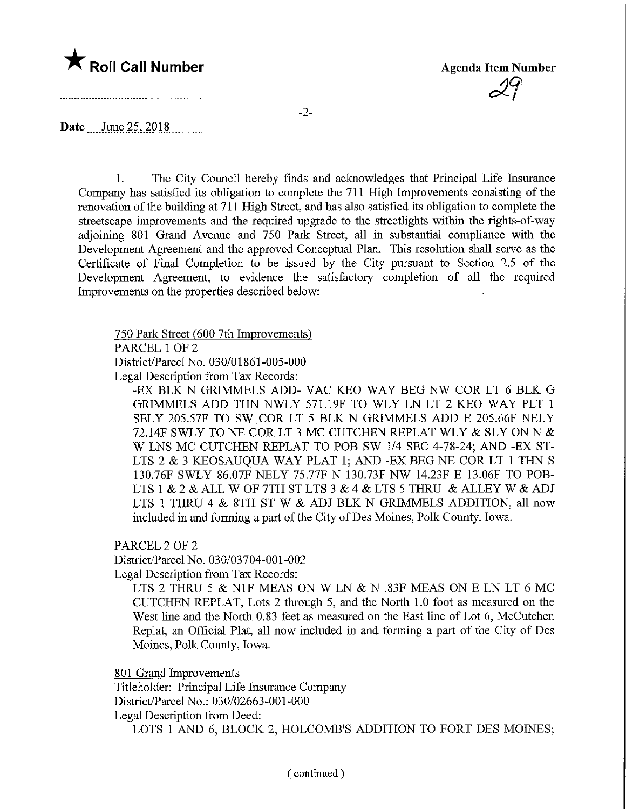# **The Roll Call Number Agents Container Agency Agenda Item Number**

-----------------------------------

 $29<sup>°</sup>$ 

-2-

Date June 25, 2018

1. The City Council hereby finds and acknowledges that Principal Life Insurance Company has satisfied its obligation to complete the 711 High Improvements consisting of the renovation of the building at 711 High Street, and has also satisfied its obligation to complete the streetscape improvements and the required upgrade to the streetlights within the rights-of-way adjoining 801 Grand Avenue and 750 Park Street, all in substantial compliance with the Development Agreement and the approved Conceptual Plan. This resolution shall serve as the Certificate of Final Completion to be issued by the City pursuant to Section 2.5 of the Development Agreement, to evidence the satisfactory completion of all the required Improvements on the properties described below:

750 Park Street (600 7th Improvements)

PARCEL 1 OF 2

District/Parcel No. 030/01861-005-000

Legal Description from Tax Records:

-EX BLK N GRIMMELS ADD- VAC KEO WAY BEG NW COR LT 6 BLK G GRIMMELS ADD THN NWLY 571.19F TO WLY LN LT 2 KEO WAY PLT 1 SELY 205.57F TO SW COR LT 5 BLK N GRIMMELS ADD E 205.66F NELY 72.14F SWLY TO NE COR LT 3 MC CUTCHEN REPLAT WLY & SLY ON N & W LNS MC CUTCHEN REPLAT TO POB SW 1/4 SEC 4-78-24; AND -EX ST-LTS 2 & 3 KEOSAUQUA WAY PLAT 1; AND -EX BEG NE COR LT 1 THN S 130.76F SWLY 86.07F NELY 75.77F N 130.73F NW 14.23F E 13.06F TO POB-LTS 1 & 2 & ALL W OF 7TH ST LTS 3 & 4 & LTS 5 THRU & ALLEY W & ADJ LTS 1 THRU 4 & 8TH ST W & ADJ BLK N GRIMMELS ADDITION, all now included in and forming a part of the City of Des Moines, Polk County, Iowa.

PARCEL 2 OF 2

District/Parcel No. 030/03704-001-002 Legal Description from Tax Records:

LTS 2 THRU 5 & N1F MEAS ON W LN & N .83F MEAS ON E LN LT 6 MC CUTCHEN REPLAT, Lots 2 through 5, and the North 1.0 foot as measured on the West line and the North 0.83 feet as measured on the East line of Lot 6, McCutchen Replat, an Official Plat, all now included in and forming a part of the City of Des Moines, Polk County, Iowa.

801 Grand Improvements

Titleholder: Principal Life Insurance Company District/Parcel No.: 030/02663-001-000 Legal Description from Deed: LOTS 1 AND 6, BLOCK 2, HOLCOMB'S ADDITION TO FORT DES MOINES;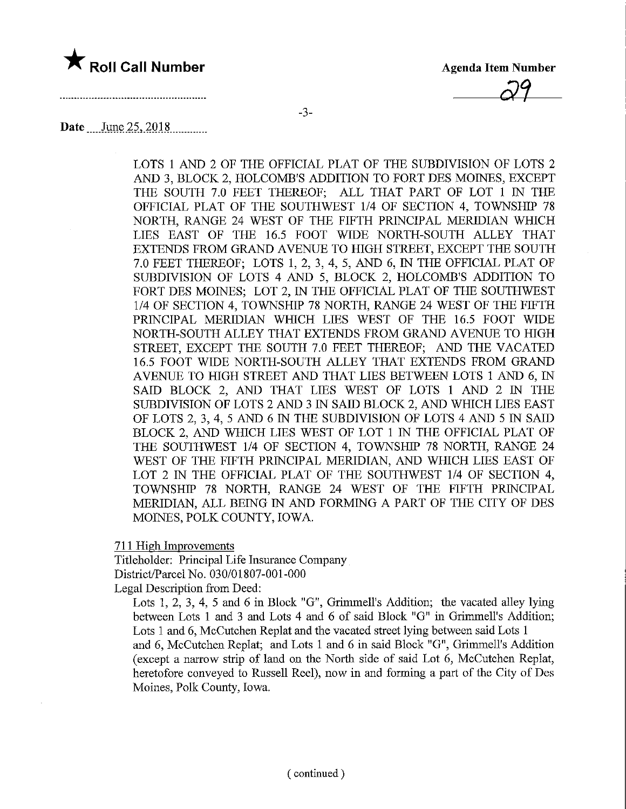## **The Roll Call Number** Agenda Item Number

Agenda Item Nun<br>
3-3-

### Date June 25, 2018

LOTS 1 AND 2 OF THE OFFICIAL PLAT OF THE SUBDIVISION OF LOTS 2 AND 3, BLOCK 2, HOLCOMB'S ADDITION TO FORT DES MOINES, EXCEPT THE SOUTH 7.0 FEET THEREOF; ALL THAT PART OF LOT 1 IN THE OFFICIAL PLAT OF THE SOUTHWEST 1/4 OF SECTION 4, TOWNSHIP 78 NORTH, RANGE 24 WEST OF THE FIFTH PRINCIPAL MERIDIAN WHICH LIES EAST OF THE 16.5 FOOT WIDE NORTH-SOUTH ALLEY THAT EXTENDS FROM GRAND AVENUE TO HIGH STREET, EXCEPT THE SOUTH 7.0 FEET THEREOF; LOTS 1, 2, 3, 4, 5, AND 6, IN THE OFFICIAL PLAT OF SUBDIVISION OF LOTS 4 AND 5, BLOCK 2, HOLCOMB'S ADDITION TO FORT DES MOINES; LOT 2, IN THE OFFICIAL PLAT OF THE SOUTHWEST 1/4 OF SECTION 4, TOWNSHIP 78 NORTH, RANGE 24 WEST OF THE FIFTH PRINCIPAL MERIDIAN WHICH LIES WEST OF THE 16.5 FOOT WIDE NORTH-SOUTH ALLEY THAT EXTENDS FROM GRAND AVENUE TO HIGH STREET, EXCEPT THE SOUTH 7.0 FEET THEREOF; AND THE VACATED 16.5 FOOT WIDE NORTH-SOUTH ALLEY THAT EXTENDS FROM GRAND AVENUE TO HIGH STREET AND THAT LIES BETWEEN LOTS 1 AND 6, IN SAID BLOCK 2, AND THAT LIES WEST OF LOTS 1 AND 2 IN THE SUBDIVISION OF LOTS 2 AND 3 m SAID BLOCK 2, AND WHICH LIES EAST OF LOTS 2, 3, 4, 5 AND 6 IN THE SUBDIVISION OF LOTS 4 AND 5 IN SAID BLOCK 2, AND WHICH LIES WEST OF LOT 1 IN THE OFFICIAL PLAT OF THE SOUTHWEST 1/4 OF SECTION 4, TOWNSHIP 78 NORTH, RANGE 24 WEST OF THE FIFTH PRINCIPAL MERIDIAN, AND WHICH LIES EAST OF LOT 2 IN THE OFFICIAL PLAT OF THE SOUTHWEST 1/4 OF SECTION 4, TOWNSHIP 78 NORTH, RANGE 24 WEST OF THE FIFTH PRINCIPAL MERIDIAN, ALL BEING IN AND FORMING A PART OF THE CITY OF DES MOINES, POLK COUNTY, IOWA.

711 High Improvements

Titleholder: Principal Life Insurance Company District/Parcel No. 030/01807-001-000

Legal Description from Deed:

Lots 1, 2, 3, 4, 5 and 6 in Block "G", Grimmell's Addition; the vacated alley lying between Lots 1 and 3 and Lots 4 and 6 of said Block "G" in Grimmell's Addition; Lots 1 and 6, McCutchen Replat and the vacated street lying between said Lots 1 and 6, McCutchen Replat; and Lots 1 and 6 in said Block "G", Grimmell's Addition (except a narrow strip of land on the North side of said Lot 6, McCutchen Replat, heretofore conveyed to Russell Reel), now in and forming a part of the City of Des Moines, Polk County, Iowa.